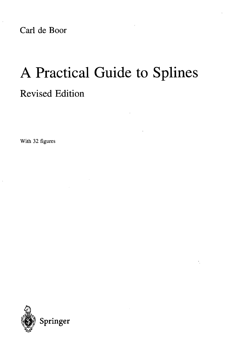Carl de Boor

# A Practical Guide to Splines Revised Edition

With 32 figures

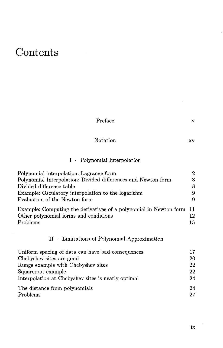## Contents

 $\hat{\mathcal{A}}$ 

| Preface                                                           | v                |
|-------------------------------------------------------------------|------------------|
| <b>Notation</b>                                                   | XV               |
| Polynomial Interpolation<br>$\mathbf{I}$ .                        |                  |
| Polynomial interpolation: Lagrange form                           | $\boldsymbol{2}$ |
| Polynomial Interpolation: Divided differences and Newton form     | 3                |
| Divided difference table                                          | 8                |
| Example: Osculatory interpolation to the logarithm                | 9                |
| Evaluation of the Newton form                                     | 9                |
| Example: Computing the derivatives of a polynomial in Newton form | 11               |
| Other polynomial forms and conditions                             | 12               |
| Problems                                                          | 15               |
| II • Limitations of Polynomial Approximation                      |                  |
| Uniform spacing of data can have bad consequences                 | 17               |
| Chebyshev sites are good                                          | 20               |
| Runge example with Chebyshev sites                                | 22               |
| Squareroot example                                                | 22               |
| Interpolation at Chebyshev sites is nearly optimal                | 24               |
| The distance from polynomials                                     | 24               |
| Problems                                                          | 27               |

 $\mathbb{Z}$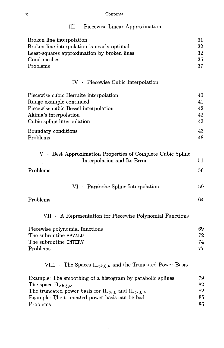#### x Contents

| III · Piecewise Linear Approximation                                                                                                                                                                                                                                 |                            |
|----------------------------------------------------------------------------------------------------------------------------------------------------------------------------------------------------------------------------------------------------------------------|----------------------------|
| Broken line interpolation<br>Broken line interpolation is nearly optimal<br>Least-squares approximation by broken lines<br>Good meshes<br>Problems                                                                                                                   | 31<br>32<br>32<br>35<br>37 |
| IV · Piecewise Cubic Interpolation                                                                                                                                                                                                                                   |                            |
| Piecewise cubic Hermite interpolation<br>Runge example continued<br>Piecewise cubic Bessel interpolation<br>Akima's interpolation<br>Cubic spline interpolation                                                                                                      | 40<br>41<br>42<br>42<br>43 |
| Boundary conditions<br>Problems                                                                                                                                                                                                                                      | 43<br>48                   |
| V · Best Approximation Properties of Complete Cubic Spline<br>Interpolation and Its Error<br>Problems                                                                                                                                                                | 51<br>56                   |
| VI · Parabolic Spline Interpolation                                                                                                                                                                                                                                  | 59                         |
| Problems                                                                                                                                                                                                                                                             | 64                         |
| VII • A Representation for Piecewise Polynomial Functions                                                                                                                                                                                                            |                            |
| Piecewise polynomial functions<br>The subroutine PPVALU<br>The subroutine INTERV<br>Problems                                                                                                                                                                         | 69<br>72<br>74<br>77       |
| VIII • The Spaces $\Pi_{\leq k,\xi,\nu}$ and the Truncated Power Basis                                                                                                                                                                                               |                            |
| Example: The smoothing of a histogram by parabolic splines<br>The space $\Pi_{\leq k,\boldsymbol{\xi},\boldsymbol{\nu}}$<br>The truncated power basis for $\Pi_{\leq k,\xi}$ and $\Pi_{\leq k,\xi,\nu}$<br>Example: The truncated power basis can be bad<br>Problems | 79<br>82<br>82<br>85<br>86 |

 $\hat{\boldsymbol{\beta}}$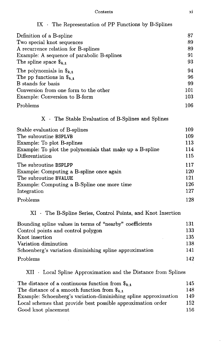| Definition of a B-spline                                     | 87  |
|--------------------------------------------------------------|-----|
| Two special knot sequences                                   | 89  |
| A recurrence relation for B-splines                          | 89  |
| Example: A sequence of parabolic B-splines                   | 91  |
| The spline space $\mathbf{\$}_{k,\mathbf{t}}$                | 93  |
| The polynomials in $\$_{k,\mathbf{t}}$                       | 94  |
| The pp functions in $\$_{k,\mathbf{t}}$                      | 96  |
| B stands for basis                                           | 99  |
| Conversion from one form to the other                        | 101 |
| Example: Conversion to B-form                                | 103 |
| Problems                                                     | 106 |
| $X \cdot$ The Stable Evaluation of B-Splines and Splines     |     |
| Stable evaluation of B-splines                               | 109 |
| The subroutine BSPLVB                                        | 109 |
| Example: To plot B-splines                                   | 113 |
| Example: To plot the polynomials that make up a B-spline     | 114 |
| Differentiation                                              | 115 |
| The subroutine BSPLPP                                        | 117 |
| Example: Computing a B-spline once again                     | 120 |
| The subroutine BVALUE                                        | 121 |
| Example: Computing a B-Spline one more time                  | 126 |
| Integration                                                  | 127 |
| Problems                                                     | 128 |
| XI • The B-Spline Series, Control Points, and Knot Insertion |     |
| Bounding spline values in terms of "nearby" coefficients     | 131 |
| Control points and control polygon                           | 133 |
| Knot insertion                                               | 135 |
| Variation diminution                                         | 138 |
| Schoenberg's variation diminishing spline approximation      | 141 |
| Problems                                                     | 142 |
|                                                              |     |

#### IX • The Representation of PP Functions by B-Splines

 $\mathbf{XII}$  - Local Spline Approximation and the Distance from Splines

| The distance of a continuous function from $\$_{k,t}$            | 145 |
|------------------------------------------------------------------|-----|
| The distance of a smooth function from $\$_{k,t}$                | 148 |
| Example: Schoenberg's variation-diminishing spline approximation | 149 |
| Local schemes that provide best possible approximation order     | 152 |
| Good knot placement                                              | 156 |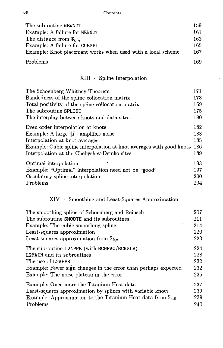xii Contents

| The subroutine NEWNOT                                       | 159 |
|-------------------------------------------------------------|-----|
| Example: A failure for NEWNOT                               | 161 |
| The distance from $\$_{k,n}$                                | 163 |
| Example: A failure for CUBSPL                               | 165 |
| Example: Knot placement works when used with a local scheme | 167 |
| Problems                                                    | 169 |

### $\,$  XIII  $\,$   $\,$  -  $\,$  Spline Interpolation

| The Schoenberg-Whitney Theorem                                       | 171        |
|----------------------------------------------------------------------|------------|
| Bandedness of the spline collocation matrix                          | 173        |
| Total positivity of the spline collocation matrix                    | 169        |
| The subroutine SPLINT                                                | 175        |
| The interplay between knots and data sites                           | 180        |
| Even order interpolation at knots                                    | 182        |
| Example: A large $  I  $ amplifies noise                             | 183        |
| Interpolation at knot averages                                       | 185        |
| Example: Cubic spline interpolation at knot averages with good knots | 186        |
| Interpolation at the Chebyshev-Demko sites                           | 189        |
| Optimal interpolation                                                | 193.       |
| Example: "Optimal" interpolation need not be "good"                  | 197        |
| Osculatory spline interpolation                                      | <b>200</b> |
| Problems                                                             | 204        |

### XIV • Smoothing and Least-Squares Approximation

| The smoothing spline of Schoenberg and Reinsch                            | 207         |
|---------------------------------------------------------------------------|-------------|
| The subroutine SMOOTH and its subroutines                                 | 211         |
| Example: The cubic smoothing spline                                       | 214         |
| Least-squares approximation                                               | 220         |
| Least-squares approximation from $\$_{k,t}$                               | 223         |
| The subroutine L2APPR (with BCHFAC/BCHSLV)                                | 224         |
| <b>L2MAIN</b> and its subroutines                                         | 228         |
| The use of L2APPR                                                         | $\cdot 232$ |
| Example: Fewer sign changes in the error than perhaps expected            | 232         |
| Example: The noise plateau in the error                                   | 235         |
| Example: Once more the Titanium Heat data                                 | 237         |
| Least-squares approximation by splines with variable knots                | 239         |
| Example: Approximation to the Titanium Heat data from $\mathcal{F}_{4,9}$ | 239         |
| Problems                                                                  | 240         |

 $\bar{\zeta}$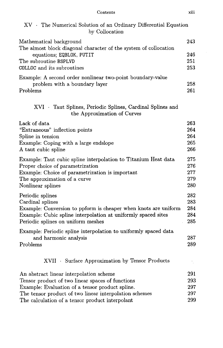Contents xiii

| XV · The Numerical Solution of an Ordinary Differential Equation<br>by Collocation          |     |
|---------------------------------------------------------------------------------------------|-----|
| Mathematical background<br>The almost block diagonal character of the system of collocation | 243 |
| equations; EQBLOK, PUTIT                                                                    | 246 |
| The subroutine BSPLVD                                                                       | 251 |
| COLLOC and its subroutines                                                                  | 253 |
| Example: A second order nonlinear two-point boundary-value                                  |     |
| problem with a boundary layer                                                               | 258 |
| Problems                                                                                    | 261 |
| XVI Taut Splines, Periodic Splines, Cardinal Splines and<br>the Approximation of Curves     |     |
| Lack of data                                                                                | 263 |
| "Extraneous" inflection points                                                              | 264 |
| Spline in tension                                                                           | 264 |
| Example: Coping with a large endslope                                                       | 265 |
| A taut cubic spline                                                                         | 266 |
| Example: Taut cubic spline interpolation to Titanium Heat data                              | 275 |
| Proper choice of parametrization                                                            | 276 |
| Example: Choice of parametrization is important                                             | 277 |
| The approximation of a curve                                                                | 279 |
| Nonlinear splines                                                                           | 280 |
| Periodic splines                                                                            | 282 |
| Cardinal splines                                                                            | 283 |
| Example: Conversion to ppform is cheaper when knots are uniform                             | 284 |
| Example: Cubic spline interpolation at uniformly spaced sites                               | 284 |
| Periodic splines on uniform meshes                                                          | 285 |
| Example: Periodic spline interpolation to uniformly spaced data                             |     |
| and harmonic analysis                                                                       | 287 |
| Problems                                                                                    | 289 |
| XVII · Surface Approximation by Tensor Products                                             |     |
| An abstract linear interpolation scheme                                                     | 291 |
| Tensor product of two linear spaces of functions                                            | 293 |
| Example: Evaluation of a tensor product spline.                                             | 297 |
| The tensor product of two linear interpolation schemes                                      | 297 |
| The calculation of a tensor product interpolant                                             | 299 |